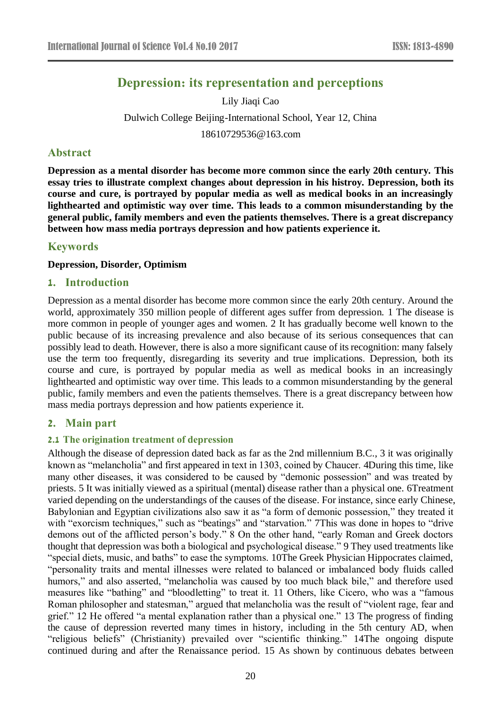# **Depression: its representation and perceptions**

Lily Jiaqi Cao Dulwich College Beijing-International School, Year 12, China 18610729536@163.com

# **Abstract**

**Depression as a mental disorder has become more common since the early 20th century. This essay tries to illustrate complext changes about depression in his histroy. Depression, both its course and cure, is portrayed by popular media as well as medical books in an increasingly lighthearted and optimistic way over time. This leads to a common misunderstanding by the general public, family members and even the patients themselves. There is a great discrepancy between how mass media portrays depression and how patients experience it.**

# **Keywords**

#### **Depression, Disorder, Optimism**

#### **1. Introduction**

Depression as a mental disorder has become more common since the early 20th century. Around the world, approximately 350 million people of different ages suffer from depression. 1 The disease is more common in people of younger ages and women. 2 It has gradually become well known to the public because of its increasing prevalence and also because of its serious consequences that can possibly lead to death. However, there is also a more significant cause of its recognition: many falsely use the term too frequently, disregarding its severity and true implications. Depression, both its course and cure, is portrayed by popular media as well as medical books in an increasingly lighthearted and optimistic way over time. This leads to a common misunderstanding by the general public, family members and even the patients themselves. There is a great discrepancy between how mass media portrays depression and how patients experience it.

# **2. Main part**

#### **2.1 The origination treatment of depression**

Although the disease of depression dated back as far as the 2nd millennium B.C., 3 it was originally known as "melancholia" and first appeared in text in 1303, coined by Chaucer. 4During this time, like many other diseases, it was considered to be caused by "demonic possession" and was treated by priests. 5 It was initially viewed as a spiritual (mental) disease rather than a physical one. 6Treatment varied depending on the understandings of the causes of the disease. For instance, since early Chinese, Babylonian and Egyptian civilizations also saw it as "a form of demonic possession," they treated it with "exorcism techniques," such as "beatings" and "starvation." 7This was done in hopes to "drive demons out of the afflicted person's body." 8 On the other hand, "early Roman and Greek doctors thought that depression was both a biological and psychological disease." 9 They used treatments like "special diets, music, and baths" to ease the symptoms. 10The Greek Physician Hippocrates claimed, "personality traits and mental illnesses were related to balanced or imbalanced body fluids called humors," and also asserted, "melancholia was caused by too much black bile," and therefore used measures like "bathing" and "bloodletting" to treat it. 11 Others, like Cicero, who was a "famous Roman philosopher and statesman," argued that melancholia was the result of "violent rage, fear and grief." 12 He offered "a mental explanation rather than a physical one." 13 The progress of finding the cause of depression reverted many times in history, including in the 5th century AD, when "religious beliefs" (Christianity) prevailed over "scientific thinking." 14The ongoing dispute continued during and after the Renaissance period. 15 As shown by continuous debates between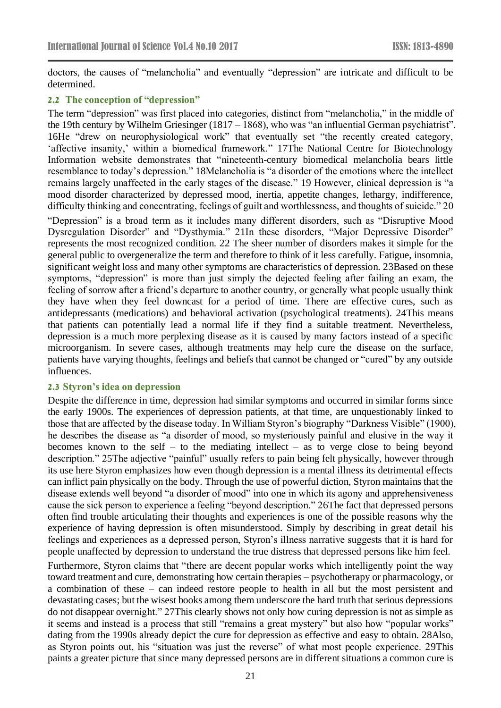doctors, the causes of "melancholia" and eventually "depression" are intricate and difficult to be determined.

#### **2.2 The conception of "depression"**

The term "depression" was first placed into categories, distinct from "melancholia," in the middle of the 19th century by Wilhelm Griesinger (1817 – 1868), who was "an influential German psychiatrist". 16He "drew on neurophysiological work" that eventually set "the recently created category, 'affective insanity,' within a biomedical framework." 17The National Centre for Biotechnology Information website demonstrates that "nineteenth-century biomedical melancholia bears little resemblance to today's depression." 18Melancholia is "a disorder of the emotions where the intellect remains largely unaffected in the early stages of the disease." 19 However, clinical depression is "a mood disorder characterized by depressed mood, inertia, appetite changes, lethargy, indifference, difficulty thinking and concentrating, feelings of guilt and worthlessness, and thoughts of suicide." 20

"Depression" is a broad term as it includes many different disorders, such as "Disruptive Mood Dysregulation Disorder" and "Dysthymia." 21In these disorders, "Major Depressive Disorder" represents the most recognized condition. 22 The sheer number of disorders makes it simple for the general public to overgeneralize the term and therefore to think of it less carefully. Fatigue, insomnia, significant weight loss and many other symptoms are characteristics of depression. 23Based on these symptoms, "depression" is more than just simply the dejected feeling after failing an exam, the feeling of sorrow after a friend's departure to another country, or generally what people usually think they have when they feel downcast for a period of time. There are effective cures, such as antidepressants (medications) and behavioral activation (psychological treatments). 24This means that patients can potentially lead a normal life if they find a suitable treatment. Nevertheless, depression is a much more perplexing disease as it is caused by many factors instead of a specific microorganism. In severe cases, although treatments may help cure the disease on the surface, patients have varying thoughts, feelings and beliefs that cannot be changed or "cured" by any outside influences.

#### **2.3 Styron's idea on depression**

Despite the difference in time, depression had similar symptoms and occurred in similar forms since the early 1900s. The experiences of depression patients, at that time, are unquestionably linked to those that are affected by the disease today. In William Styron's biography "Darkness Visible" (1900), he describes the disease as "a disorder of mood, so mysteriously painful and elusive in the way it becomes known to the self – to the mediating intellect – as to verge close to being beyond description." 25The adjective "painful" usually refers to pain being felt physically, however through its use here Styron emphasizes how even though depression is a mental illness its detrimental effects can inflict pain physically on the body. Through the use of powerful diction, Styron maintains that the disease extends well beyond "a disorder of mood" into one in which its agony and apprehensiveness cause the sick person to experience a feeling "beyond description." 26The fact that depressed persons often find trouble articulating their thoughts and experiences is one of the possible reasons why the experience of having depression is often misunderstood. Simply by describing in great detail his feelings and experiences as a depressed person, Styron's illness narrative suggests that it is hard for people unaffected by depression to understand the true distress that depressed persons like him feel.

Furthermore, Styron claims that "there are decent popular works which intelligently point the way toward treatment and cure, demonstrating how certain therapies – psychotherapy or pharmacology, or a combination of these – can indeed restore people to health in all but the most persistent and devastating cases; but the wisest books among them underscore the hard truth that serious depressions do not disappear overnight." 27This clearly shows not only how curing depression is not as simple as it seems and instead is a process that still "remains a great mystery" but also how "popular works" dating from the 1990s already depict the cure for depression as effective and easy to obtain. 28Also, as Styron points out, his "situation was just the reverse" of what most people experience. 29This paints a greater picture that since many depressed persons are in different situations a common cure is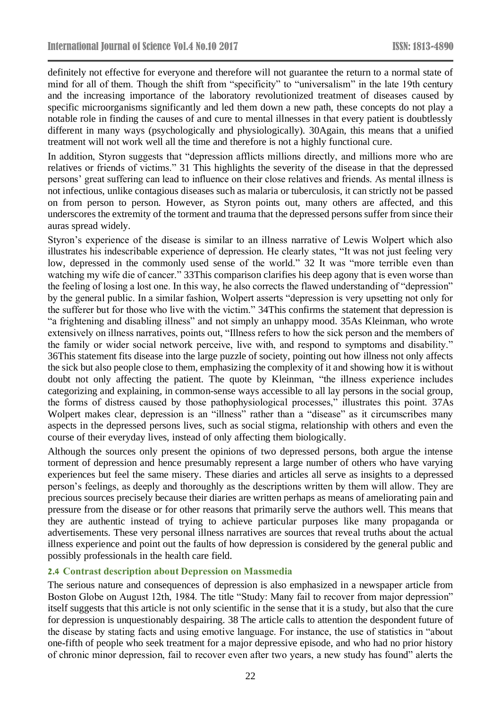definitely not effective for everyone and therefore will not guarantee the return to a normal state of mind for all of them. Though the shift from "specificity" to "universalism" in the late 19th century and the increasing importance of the laboratory revolutionized treatment of diseases caused by specific microorganisms significantly and led them down a new path, these concepts do not play a notable role in finding the causes of and cure to mental illnesses in that every patient is doubtlessly different in many ways (psychologically and physiologically). 30Again, this means that a unified treatment will not work well all the time and therefore is not a highly functional cure.

In addition, Styron suggests that "depression afflicts millions directly, and millions more who are relatives or friends of victims." 31 This highlights the severity of the disease in that the depressed persons' great suffering can lead to influence on their close relatives and friends. As mental illness is not infectious, unlike contagious diseases such as malaria or tuberculosis, it can strictly not be passed on from person to person. However, as Styron points out, many others are affected, and this underscores the extremity of the torment and trauma that the depressed persons suffer from since their auras spread widely.

Styron's experience of the disease is similar to an illness narrative of Lewis Wolpert which also illustrates his indescribable experience of depression. He clearly states, "It was not just feeling very low, depressed in the commonly used sense of the world." 32 It was "more terrible even than watching my wife die of cancer." 33This comparison clarifies his deep agony that is even worse than the feeling of losing a lost one. In this way, he also corrects the flawed understanding of "depression" by the general public. In a similar fashion, Wolpert asserts "depression is very upsetting not only for the sufferer but for those who live with the victim." 34This confirms the statement that depression is "a frightening and disabling illness" and not simply an unhappy mood. 35As Kleinman, who wrote extensively on illness narratives, points out, "Illness refers to how the sick person and the members of the family or wider social network perceive, live with, and respond to symptoms and disability." 36This statement fits disease into the large puzzle of society, pointing out how illness not only affects the sick but also people close to them, emphasizing the complexity of it and showing how it is without doubt not only affecting the patient. The quote by Kleinman, "the illness experience includes categorizing and explaining, in common-sense ways accessible to all lay persons in the social group, the forms of distress caused by those pathophysiological processes," illustrates this point. 37As Wolpert makes clear, depression is an "illness" rather than a "disease" as it circumscribes many aspects in the depressed persons lives, such as social stigma, relationship with others and even the course of their everyday lives, instead of only affecting them biologically.

Although the sources only present the opinions of two depressed persons, both argue the intense torment of depression and hence presumably represent a large number of others who have varying experiences but feel the same misery. These diaries and articles all serve as insights to a depressed person's feelings, as deeply and thoroughly as the descriptions written by them will allow. They are precious sources precisely because their diaries are written perhaps as means of ameliorating pain and pressure from the disease or for other reasons that primarily serve the authors well. This means that they are authentic instead of trying to achieve particular purposes like many propaganda or advertisements. These very personal illness narratives are sources that reveal truths about the actual illness experience and point out the faults of how depression is considered by the general public and possibly professionals in the health care field.

#### **2.4 Contrast description about Depression on Massmedia**

The serious nature and consequences of depression is also emphasized in a newspaper article from Boston Globe on August 12th, 1984. The title "Study: Many fail to recover from major depression" itself suggests that this article is not only scientific in the sense that it is a study, but also that the cure for depression is unquestionably despairing. 38 The article calls to attention the despondent future of the disease by stating facts and using emotive language. For instance, the use of statistics in "about one-fifth of people who seek treatment for a major depressive episode, and who had no prior history of chronic minor depression, fail to recover even after two years, a new study has found" alerts the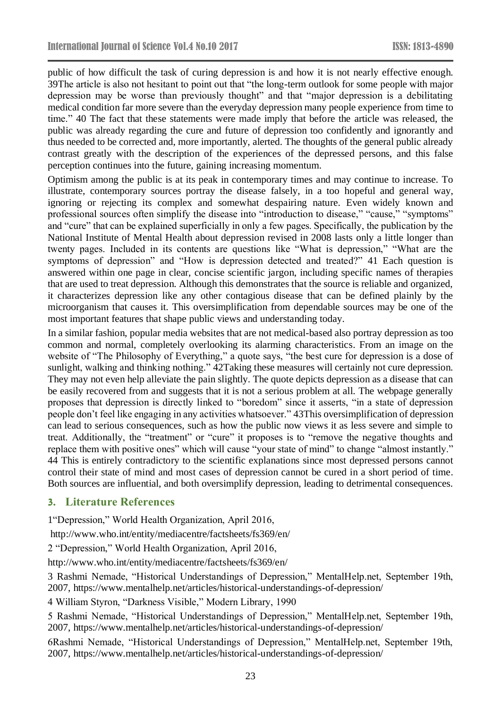public of how difficult the task of curing depression is and how it is not nearly effective enough. 39The article is also not hesitant to point out that "the long-term outlook for some people with major depression may be worse than previously thought" and that "major depression is a debilitating medical condition far more severe than the everyday depression many people experience from time to time." 40 The fact that these statements were made imply that before the article was released, the public was already regarding the cure and future of depression too confidently and ignorantly and thus needed to be corrected and, more importantly, alerted. The thoughts of the general public already contrast greatly with the description of the experiences of the depressed persons, and this false perception continues into the future, gaining increasing momentum.

Optimism among the public is at its peak in contemporary times and may continue to increase. To illustrate, contemporary sources portray the disease falsely, in a too hopeful and general way, ignoring or rejecting its complex and somewhat despairing nature. Even widely known and professional sources often simplify the disease into "introduction to disease," "cause," "symptoms" and "cure" that can be explained superficially in only a few pages. Specifically, the publication by the National Institute of Mental Health about depression revised in 2008 lasts only a little longer than twenty pages. Included in its contents are questions like "What is depression," "What are the symptoms of depression" and "How is depression detected and treated?" 41 Each question is answered within one page in clear, concise scientific jargon, including specific names of therapies that are used to treat depression. Although this demonstrates that the source is reliable and organized, it characterizes depression like any other contagious disease that can be defined plainly by the microorganism that causes it. This oversimplification from dependable sources may be one of the most important features that shape public views and understanding today.

In a similar fashion, popular media websites that are not medical-based also portray depression as too common and normal, completely overlooking its alarming characteristics. From an image on the website of "The Philosophy of Everything," a quote says, "the best cure for depression is a dose of sunlight, walking and thinking nothing." 42Taking these measures will certainly not cure depression. They may not even help alleviate the pain slightly. The quote depicts depression as a disease that can be easily recovered from and suggests that it is not a serious problem at all. The webpage generally proposes that depression is directly linked to "boredom" since it asserts, "in a state of depression people don't feel like engaging in any activities whatsoever." 43This oversimplification of depression can lead to serious consequences, such as how the public now views it as less severe and simple to treat. Additionally, the "treatment" or "cure" it proposes is to "remove the negative thoughts and replace them with positive ones" which will cause "your state of mind" to change "almost instantly." 44 This is entirely contradictory to the scientific explanations since most depressed persons cannot control their state of mind and most cases of depression cannot be cured in a short period of time. Both sources are influential, and both oversimplify depression, leading to detrimental consequences.

# **3. Literature References**

1"Depression," World Health Organization, April 2016,

<http://www.who.int/entity/mediacentre/factsheets/fs369/en/>

2 "Depression," World Health Organization, April 2016,

<http://www.who.int/entity/mediacentre/factsheets/fs369/en/>

3 Rashmi Nemade, "Historical Understandings of Depression," MentalHelp.net, September 19th, 2007,<https://www.mentalhelp.net/articles/historical-understandings-of-depression/>

4 William Styron, "Darkness Visible," Modern Library, 1990

5 Rashmi Nemade, "Historical Understandings of Depression," MentalHelp.net, September 19th, 2007,<https://www.mentalhelp.net/articles/historical-understandings-of-depression/>

6Rashmi Nemade, "Historical Understandings of Depression," MentalHelp.net, September 19th, 2007,<https://www.mentalhelp.net/articles/historical-understandings-of-depression/>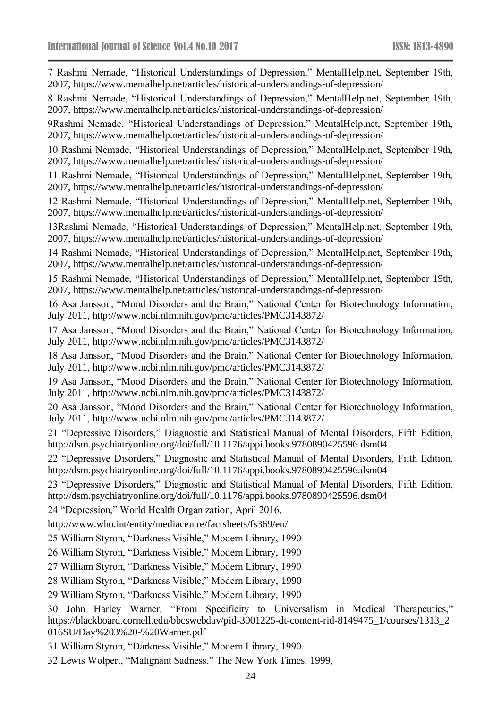| 7 Rashmi Nemade, "Historical Understandings of Depression," MentalHelp.net, September 19th,<br>2007, https://www.mentalhelp.net/articles/historical-understandings-of-depression/                                        |
|--------------------------------------------------------------------------------------------------------------------------------------------------------------------------------------------------------------------------|
| 8 Rashmi Nemade, "Historical Understandings of Depression," MentalHelp.net, September 19th,<br>2007, https://www.mentalhelp.net/articles/historical-understandings-of-depression/                                        |
| 9 Rashmi Nemade, "Historical Understandings of Depression," MentalHelp.net, September 19th,<br>2007, https://www.mentalhelp.net/articles/historical-understandings-of-depression/                                        |
| 10 Rashmi Nemade, "Historical Understandings of Depression," MentalHelp.net, September 19th,<br>2007, https://www.mentalhelp.net/articles/historical-understandings-of-depression/                                       |
| 11 Rashmi Nemade, "Historical Understandings of Depression," MentalHelp.net, September 19th,<br>2007, https://www.mentalhelp.net/articles/historical-understandings-of-depression/                                       |
| 12 Rashmi Nemade, "Historical Understandings of Depression," MentalHelp.net, September 19th,<br>2007, https://www.mentalhelp.net/articles/historical-understandings-of-depression/                                       |
| 13Rashmi Nemade, "Historical Understandings of Depression," MentalHelp.net, September 19th,<br>2007, https://www.mentalhelp.net/articles/historical-understandings-of-depression/                                        |
| 14 Rashmi Nemade, "Historical Understandings of Depression," MentalHelp.net, September 19th,<br>2007, https://www.mentalhelp.net/articles/historical-understandings-of-depression/                                       |
| 15 Rashmi Nemade, "Historical Understandings of Depression," MentalHelp.net, September 19th,<br>2007, https://www.mentalhelp.net/articles/historical-understandings-of-depression/                                       |
| 16 Asa Jansson, "Mood Disorders and the Brain," National Center for Biotechnology Information,<br>July 2011, http://www.ncbi.nlm.nih.gov/pmc/articles/PMC3143872/                                                        |
| 17 Asa Jansson, "Mood Disorders and the Brain," National Center for Biotechnology Information,<br>July 2011, http://www.ncbi.nlm.nih.gov/pmc/articles/PMC3143872/                                                        |
| 18 Asa Jansson, "Mood Disorders and the Brain," National Center for Biotechnology Information,<br>July 2011, http://www.ncbi.nlm.nih.gov/pmc/articles/PMC3143872/                                                        |
| 19 Asa Jansson, "Mood Disorders and the Brain," National Center for Biotechnology Information,<br>July 2011, http://www.ncbi.nlm.nih.gov/pmc/articles/PMC3143872/                                                        |
| 20 Asa Jansson, "Mood Disorders and the Brain," National Center for Biotechnology Information,<br>July 2011, http://www.ncbi.nlm.nih.gov/pmc/articles/PMC3143872/                                                        |
| 21 "Depressive Disorders," Diagnostic and Statistical Manual of Mental Disorders, Fifth Edition,<br>http://dsm.psychiatryonline.org/doi/full/10.1176/appi.books.9780890425596.dsm04                                      |
| 22 "Depressive Disorders," Diagnostic and Statistical Manual of Mental Disorders, Fifth Edition,<br>http://dsm.psychiatryonline.org/doi/full/10.1176/appi.books.9780890425596.dsm04                                      |
| 23 "Depressive Disorders," Diagnostic and Statistical Manual of Mental Disorders, Fifth Edition,<br>http://dsm.psychiatryonline.org/doi/full/10.1176/appi.books.9780890425596.dsm04                                      |
| 24 "Depression," World Health Organization, April 2016,                                                                                                                                                                  |
| http://www.who.int/entity/mediacentre/factsheets/fs369/en/                                                                                                                                                               |
| 25 William Styron, "Darkness Visible," Modern Library, 1990                                                                                                                                                              |
| 26 William Styron, "Darkness Visible," Modern Library, 1990                                                                                                                                                              |
| 27 William Styron, "Darkness Visible," Modern Library, 1990                                                                                                                                                              |
| 28 William Styron, "Darkness Visible," Modern Library, 1990                                                                                                                                                              |
| 29 William Styron, "Darkness Visible," Modern Library, 1990                                                                                                                                                              |
| John Harley Warner, "From Specificity to Universalism in Medical Therapeutics,"<br>30<br>https://blackboard.cornell.edu/bbcswebdav/pid-3001225-dt-content-rid-8149475_1/courses/1313_2<br>016SU/Day%203%20-%20Warner.pdf |

31 William Styron, "Darkness Visible," Modern Library, 1990

32 Lewis Wolpert, "Malignant Sadness," The New York Times, 1999,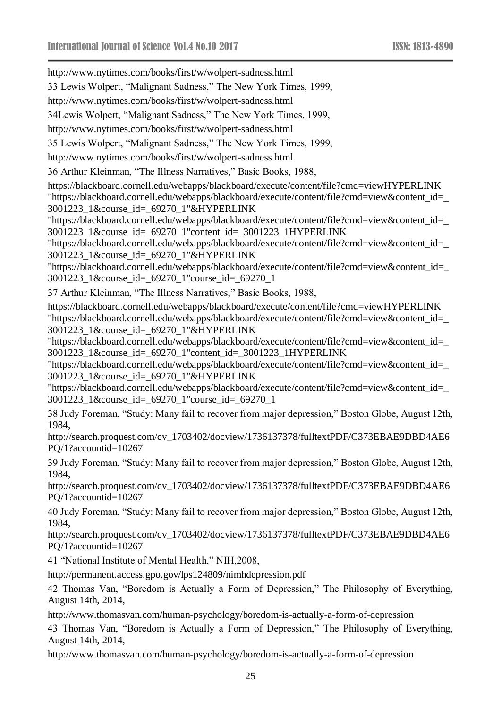<http://www.nytimes.com/books/first/w/wolpert-sadness.html> 33 Lewis Wolpert, "Malignant Sadness," The New York Times, 1999, <http://www.nytimes.com/books/first/w/wolpert-sadness.html> 34Lewis Wolpert, "Malignant Sadness," The New York Times, 1999, <http://www.nytimes.com/books/first/w/wolpert-sadness.html> 35 Lewis Wolpert, "Malignant Sadness," The New York Times, 1999, <http://www.nytimes.com/books/first/w/wolpert-sadness.html> 36 Arthur Kleinman, "The Illness Narratives," Basic Books, 1988, [https://blackboard.cornell.edu/webapps/blackboard/execute/content/file?cmd=viewHYPERLINK](https://blackboard.cornell.edu/webapps/blackboard/execute/content/file?cmd=view&content_id=_3001223_1&course_id=_69270_1)  ["https://blackboard.cornell.edu/webapps/blackboard/execute/content/file?cmd=view&content\\_id=\\_](https://blackboard.cornell.edu/webapps/blackboard/execute/content/file?cmd=view&content_id=_3001223_1&course_id=_69270_1) [3001223\\_1&course\\_id=\\_69270\\_1"&HYPERLINK](https://blackboard.cornell.edu/webapps/blackboard/execute/content/file?cmd=view&content_id=_3001223_1&course_id=_69270_1)  ["https://blackboard.cornell.edu/webapps/blackboard/execute/content/file?cmd=view&content\\_id=\\_](https://blackboard.cornell.edu/webapps/blackboard/execute/content/file?cmd=view&content_id=_3001223_1&course_id=_69270_1) [3001223\\_1&course\\_id=\\_69270\\_1"content\\_id=\\_3001223\\_1HYPERLINK](https://blackboard.cornell.edu/webapps/blackboard/execute/content/file?cmd=view&content_id=_3001223_1&course_id=_69270_1)  ["https://blackboard.cornell.edu/webapps/blackboard/execute/content/file?cmd=view&content\\_id=\\_](https://blackboard.cornell.edu/webapps/blackboard/execute/content/file?cmd=view&content_id=_3001223_1&course_id=_69270_1) [3001223\\_1&course\\_id=\\_69270\\_1"&HYPERLINK](https://blackboard.cornell.edu/webapps/blackboard/execute/content/file?cmd=view&content_id=_3001223_1&course_id=_69270_1)  ["https://blackboard.cornell.edu/webapps/blackboard/execute/content/file?cmd=view&content\\_id=\\_](https://blackboard.cornell.edu/webapps/blackboard/execute/content/file?cmd=view&content_id=_3001223_1&course_id=_69270_1) [3001223\\_1&course\\_id=\\_69270\\_1"course\\_id=\\_69270\\_1](https://blackboard.cornell.edu/webapps/blackboard/execute/content/file?cmd=view&content_id=_3001223_1&course_id=_69270_1) 37 Arthur Kleinman, "The Illness Narratives," Basic Books, 1988, [https://blackboard.cornell.edu/webapps/blackboard/execute/content/file?cmd=viewHYPERLINK](https://blackboard.cornell.edu/webapps/blackboard/execute/content/file?cmd=view&content_id=_3001223_1&course_id=_69270_1)  ["https://blackboard.cornell.edu/webapps/blackboard/execute/content/file?cmd=view&content\\_id=\\_](https://blackboard.cornell.edu/webapps/blackboard/execute/content/file?cmd=view&content_id=_3001223_1&course_id=_69270_1) [3001223\\_1&course\\_id=\\_69270\\_1"&HYPERLINK](https://blackboard.cornell.edu/webapps/blackboard/execute/content/file?cmd=view&content_id=_3001223_1&course_id=_69270_1)  ["https://blackboard.cornell.edu/webapps/blackboard/execute/content/file?cmd=view&content\\_id=\\_](https://blackboard.cornell.edu/webapps/blackboard/execute/content/file?cmd=view&content_id=_3001223_1&course_id=_69270_1) [3001223\\_1&course\\_id=\\_69270\\_1"content\\_id=\\_3001223\\_1HYPERLINK](https://blackboard.cornell.edu/webapps/blackboard/execute/content/file?cmd=view&content_id=_3001223_1&course_id=_69270_1)  ["https://blackboard.cornell.edu/webapps/blackboard/execute/content/file?cmd=view&content\\_id=\\_](https://blackboard.cornell.edu/webapps/blackboard/execute/content/file?cmd=view&content_id=_3001223_1&course_id=_69270_1) [3001223\\_1&course\\_id=\\_69270\\_1"&HYPERLINK](https://blackboard.cornell.edu/webapps/blackboard/execute/content/file?cmd=view&content_id=_3001223_1&course_id=_69270_1)  ["https://blackboard.cornell.edu/webapps/blackboard/execute/content/file?cmd=view&content\\_id=\\_](https://blackboard.cornell.edu/webapps/blackboard/execute/content/file?cmd=view&content_id=_3001223_1&course_id=_69270_1) [3001223\\_1&course\\_id=\\_69270\\_1"course\\_id=\\_69270\\_1](https://blackboard.cornell.edu/webapps/blackboard/execute/content/file?cmd=view&content_id=_3001223_1&course_id=_69270_1) 38 Judy Foreman, "Study: Many fail to recover from major depression," Boston Globe, August 12th, 1984, [http://search.proquest.com/cv\\_1703402/docview/1736137378/fulltextPDF/C373EBAE9DBD4AE6](http://search.proquest.com/cv_1703402/docview/1736137378/fulltextPDF/C373EBAE9DBD4AE6PQ/1?accountid=10267) [PQ/1?accountid=10267](http://search.proquest.com/cv_1703402/docview/1736137378/fulltextPDF/C373EBAE9DBD4AE6PQ/1?accountid=10267) 39 Judy Foreman, "Study: Many fail to recover from major depression," Boston Globe, August 12th, 1984, [http://search.proquest.com/cv\\_1703402/docview/1736137378/fulltextPDF/C373EBAE9DBD4AE6](http://search.proquest.com/cv_1703402/docview/1736137378/fulltextPDF/C373EBAE9DBD4AE6PQ/1?accountid=10267) [PQ/1?accountid=10267](http://search.proquest.com/cv_1703402/docview/1736137378/fulltextPDF/C373EBAE9DBD4AE6PQ/1?accountid=10267) 40 Judy Foreman, "Study: Many fail to recover from major depression," Boston Globe, August 12th, 1984, [http://search.proquest.com/cv\\_1703402/docview/1736137378/fulltextPDF/C373EBAE9DBD4AE6](http://search.proquest.com/cv_1703402/docview/1736137378/fulltextPDF/C373EBAE9DBD4AE6PQ/1?accountid=10267) [PQ/1?accountid=10267](http://search.proquest.com/cv_1703402/docview/1736137378/fulltextPDF/C373EBAE9DBD4AE6PQ/1?accountid=10267) 41 "National Institute of Mental Health," NIH,2008, <http://permanent.access.gpo.gov/lps124809/nimhdepression.pdf> 42 Thomas Van, "Boredom is Actually a Form of Depression," The Philosophy of Everything, August 14th, 2014, <http://www.thomasvan.com/human-psychology/boredom-is-actually-a-form-of-depression> 43 Thomas Van, "Boredom is Actually a Form of Depression," The Philosophy of Everything, August 14th, 2014, <http://www.thomasvan.com/human-psychology/boredom-is-actually-a-form-of-depression>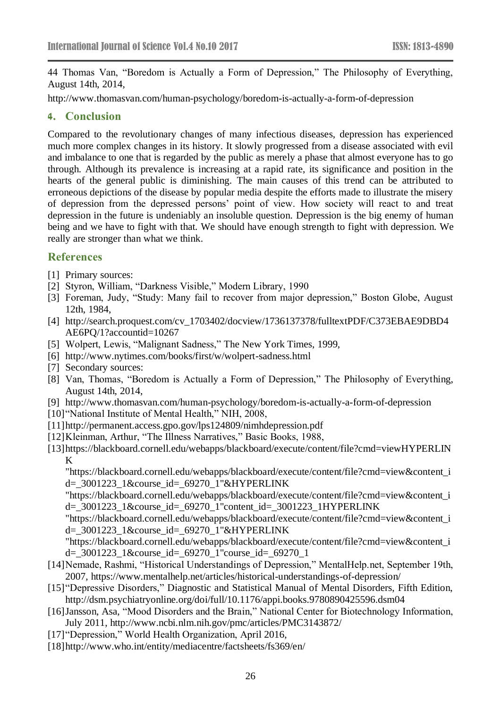44 Thomas Van, "Boredom is Actually a Form of Depression," The Philosophy of Everything, August 14th, 2014,

<http://www.thomasvan.com/human-psychology/boredom-is-actually-a-form-of-depression>

#### **4. Conclusion**

Compared to the revolutionary changes of many infectious diseases, depression has experienced much more complex changes in its history. It slowly progressed from a disease associated with evil and imbalance to one that is regarded by the public as merely a phase that almost everyone has to go through. Although its prevalence is increasing at a rapid rate, its significance and position in the hearts of the general public is diminishing. The main causes of this trend can be attributed to erroneous depictions of the disease by popular media despite the efforts made to illustrate the misery of depression from the depressed persons' point of view. How society will react to and treat depression in the future is undeniably an insoluble question. Depression is the big enemy of human being and we have to fight with that. We should have enough strength to fight with depression. We really are stronger than what we think.

# **References**

- [1] Primary sources:
- [2] Styron, William, "Darkness Visible," Modern Library, 1990
- [3] Foreman, Judy, "Study: Many fail to recover from major depression," Boston Globe, August 12th, 1984,
- [4] [http://search.proquest.com/cv\\_1703402/docview/1736137378/fulltextPDF/C373EBAE9DBD4](http://search.proquest.com/cv_1703402/docview/1736137378/fulltextPDF/C373EBAE9DBD4AE6PQ/1?accountid=10267) [AE6PQ/1?accountid=10267](http://search.proquest.com/cv_1703402/docview/1736137378/fulltextPDF/C373EBAE9DBD4AE6PQ/1?accountid=10267)
- [5] Wolpert, Lewis, "Malignant Sadness," The New York Times, 1999,
- [6] <http://www.nytimes.com/books/first/w/wolpert-sadness.html>
- [7] Secondary sources:
- [8] Van, Thomas, "Boredom is Actually a Form of Depression," The Philosophy of Everything, August 14th, 2014,
- [9] <http://www.thomasvan.com/human-psychology/boredom-is-actually-a-form-of-depression>
- [10]"National Institute of Mental Health," NIH, 2008,
- [11[\]http://permanent.access.gpo.gov/lps124809/nimhdepression.pdf](http://permanent.access.gpo.gov/lps124809/nimhdepression.pdf)
- [12]Kleinman, Arthur, "The Illness Narratives," Basic Books, 1988,
- [\[13\]https://blackboard.cornell.edu/webapps/blackboard/execute/content/file?cmd=viewHYPERLIN](https://blackboard.cornell.edu/webapps/blackboard/execute/content/file?cmd=view&content_id=_3001223_1&course_id=_69270_1) [K](https://blackboard.cornell.edu/webapps/blackboard/execute/content/file?cmd=view&content_id=_3001223_1&course_id=_69270_1)

["https://blackboard.cornell.edu/webapps/blackboard/execute/content/file?cmd=view&content\\_i](https://blackboard.cornell.edu/webapps/blackboard/execute/content/file?cmd=view&content_id=_3001223_1&course_id=_69270_1) [d=\\_3001223\\_1&course\\_id=\\_69270\\_1"&HYPERLINK](https://blackboard.cornell.edu/webapps/blackboard/execute/content/file?cmd=view&content_id=_3001223_1&course_id=_69270_1) 

["https://blackboard.cornell.edu/webapps/blackboard/execute/content/file?cmd=view&content\\_i](https://blackboard.cornell.edu/webapps/blackboard/execute/content/file?cmd=view&content_id=_3001223_1&course_id=_69270_1) [d=\\_3001223\\_1&course\\_id=\\_69270\\_1"content\\_id=\\_3001223\\_1HYPERLINK](https://blackboard.cornell.edu/webapps/blackboard/execute/content/file?cmd=view&content_id=_3001223_1&course_id=_69270_1) 

["https://blackboard.cornell.edu/webapps/blackboard/execute/content/file?cmd=view&content\\_i](https://blackboard.cornell.edu/webapps/blackboard/execute/content/file?cmd=view&content_id=_3001223_1&course_id=_69270_1) [d=\\_3001223\\_1&course\\_id=\\_69270\\_1"&HYPERLINK](https://blackboard.cornell.edu/webapps/blackboard/execute/content/file?cmd=view&content_id=_3001223_1&course_id=_69270_1) 

["https://blackboard.cornell.edu/webapps/blackboard/execute/content/file?cmd=view&content\\_i](https://blackboard.cornell.edu/webapps/blackboard/execute/content/file?cmd=view&content_id=_3001223_1&course_id=_69270_1) [d=\\_3001223\\_1&course\\_id=\\_69270\\_1"course\\_id=\\_69270\\_1](https://blackboard.cornell.edu/webapps/blackboard/execute/content/file?cmd=view&content_id=_3001223_1&course_id=_69270_1)

- [14]Nemade, Rashmi, "Historical Understandings of Depression," MentalHelp.net, September 19th, 2007,<https://www.mentalhelp.net/articles/historical-understandings-of-depression/>
- [15]"Depressive Disorders," Diagnostic and Statistical Manual of Mental Disorders, Fifth Edition, <http://dsm.psychiatryonline.org/doi/full/10.1176/appi.books.9780890425596.dsm04>
- [16]Jansson, Asa, "Mood Disorders and the Brain," National Center for Biotechnology Information, July 2011,<http://www.ncbi.nlm.nih.gov/pmc/articles/PMC3143872/>
- [17]"Depression," World Health Organization, April 2016,
- [18[\]http://www.who.int/entity/mediacentre/factsheets/fs369/en/](http://www.who.int/entity/mediacentre/factsheets/fs369/en/)